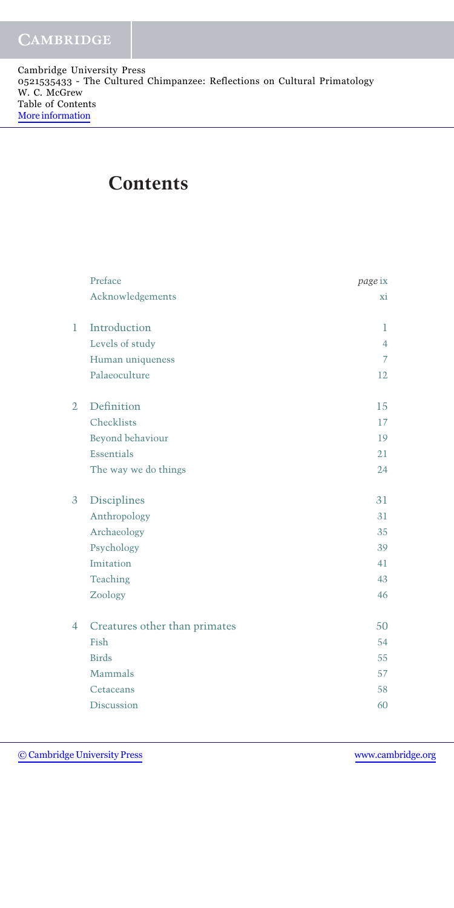Cambridge University Press 0521535433 - The Cultured Chimpanzee: Reflections on Cultural Primatology W. C. McGrew Table of Contents [More information](http://www.cambridge.org/0521535433)

## **Contents**

|                | Preface                       | page ix        |
|----------------|-------------------------------|----------------|
|                | Acknowledgements              | хi             |
| $\mathbf{1}$   | Introduction                  | 1              |
|                | Levels of study               | $\overline{4}$ |
|                | Human uniqueness              | $\overline{7}$ |
|                | Palaeoculture                 | 12             |
| $\overline{2}$ | Definition                    | 15             |
|                | Checklists                    | 17             |
|                | Beyond behaviour              | 19             |
|                | Essentials                    | 21             |
|                | The way we do things          | 24             |
| 3              | Disciplines                   | 31             |
|                | Anthropology                  | 31             |
|                | Archaeology                   | 35             |
|                | Psychology                    | 39             |
|                | Imitation                     | 41             |
|                | Teaching                      | 43             |
|                | Zoology                       | 46             |
| 4              | Creatures other than primates | 50             |
|                | Fish                          | 54             |
|                | <b>Birds</b>                  | 55             |
|                | Mammals                       | 57             |
|                | Cetaceans                     | 58             |
|                | Discussion                    | 60             |